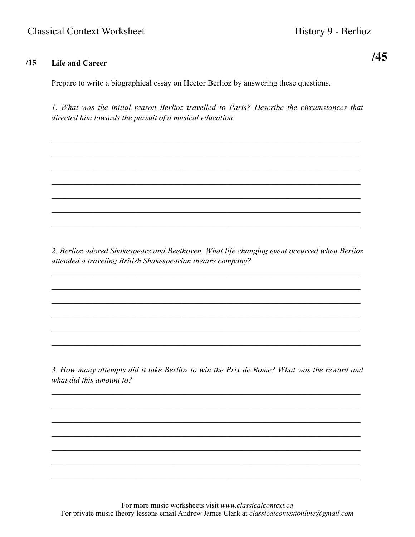## $/15$ **Life and Career**

Prepare to write a biographical essay on Hector Berlioz by answering these questions.

1. What was the initial reason Berlioz travelled to Paris? Describe the circumstances that directed him towards the pursuit of a musical education.

2. Berlioz adored Shakespeare and Beethoven. What life changing event occurred when Berlioz attended a traveling British Shakespearian theatre company?

3. How many attempts did it take Berlioz to win the Prix de Rome? What was the reward and what did this amount to?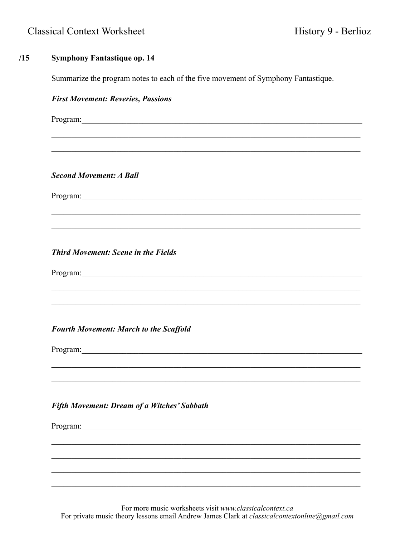## $/15$ **Symphony Fantastique op. 14**

Summarize the program notes to each of the five movement of Symphony Fantastique.

## **First Movement: Reveries, Passions** Program: **Second Movement: A Ball** Program: 2008 and 2008 and 2008 and 2008 and 2008 and 2008 and 2008 and 2008 and 2008 and 2008 and 2008 and 2008 and 2008 and 2008 and 2008 and 2008 and 2008 and 2008 and 2008 and 2008 and 2008 and 2008 and 2008 and 2008 a **Third Movement: Scene in the Fields** Program: **Fourth Movement: March to the Scaffold** Program: **Fifth Movement: Dream of a Witches' Sabbath** Program:

For more music worksheets visit www.classicalcontext.ca For private music theory lessons email Andrew James Clark at *classicalcontextonline@gmail.com*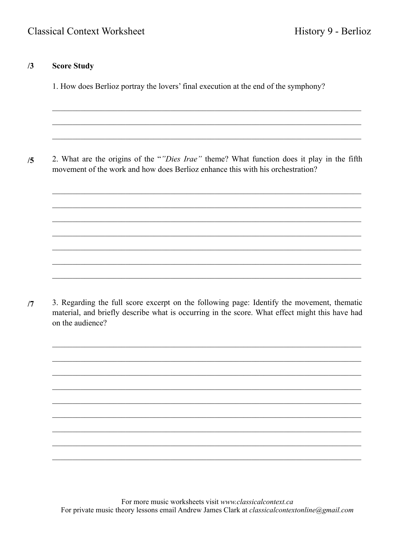## $/3$ **Score Study**

1. How does Berlioz portray the lovers' final execution at the end of the symphony?

2. What are the origins of the ""Dies Irae" theme? What function does it play in the fifth  $/5$ movement of the work and how does Berlioz enhance this with his orchestration?

3. Regarding the full score excerpt on the following page: Identify the movement, thematic  $/7$ material, and briefly describe what is occurring in the score. What effect might this have had on the audience?